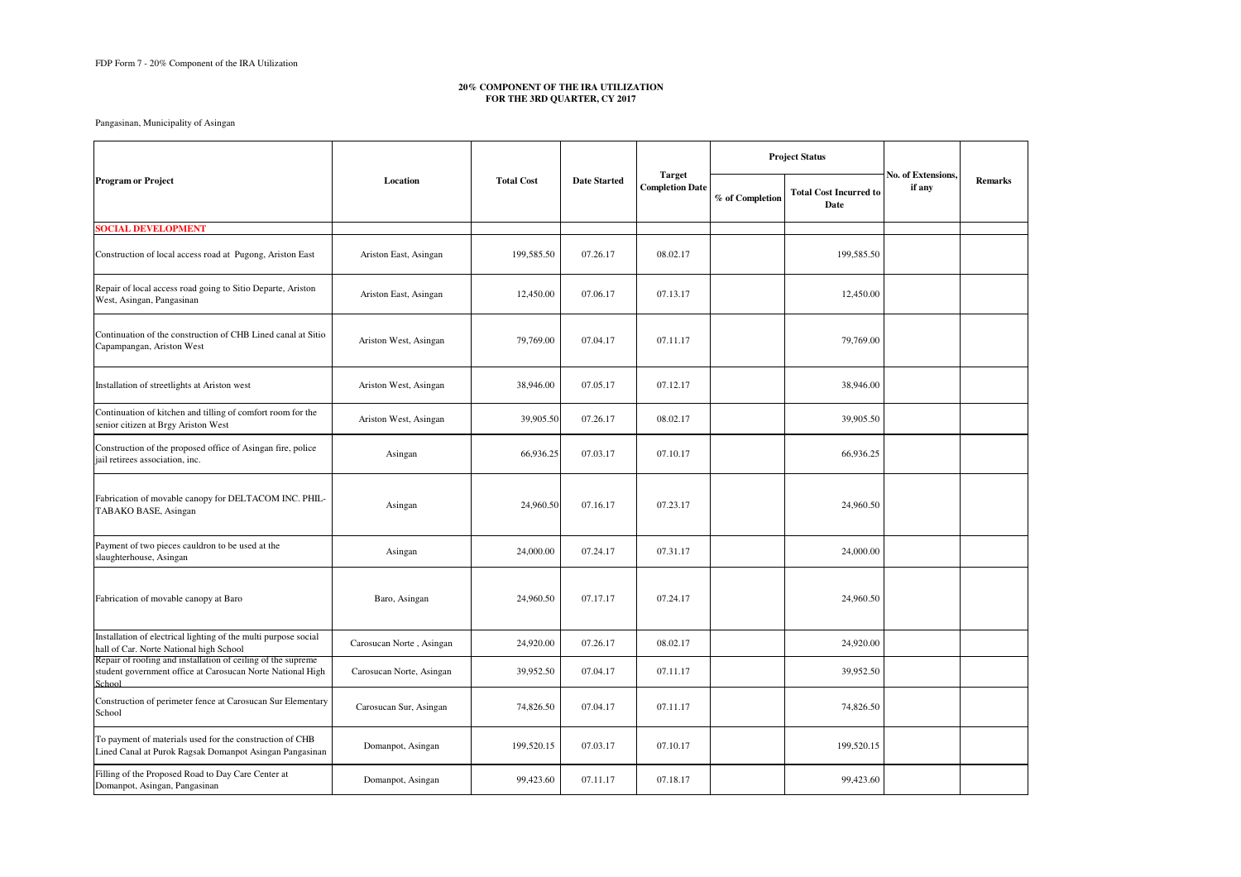Pangasinan, Municipality of Asingan

| <b>Program or Project</b>                                                                                                            | Location                 | <b>Total Cost</b> | <b>Date Started</b> | <b>Target</b><br><b>Completion Date</b> | <b>Project Status</b> |                                       |                              |                |
|--------------------------------------------------------------------------------------------------------------------------------------|--------------------------|-------------------|---------------------|-----------------------------------------|-----------------------|---------------------------------------|------------------------------|----------------|
|                                                                                                                                      |                          |                   |                     |                                         | % of Completion       | <b>Total Cost Incurred to</b><br>Date | No. of Extensions,<br>if any | <b>Remarks</b> |
| <b>SOCIAL DEVELOPMENT</b>                                                                                                            |                          |                   |                     |                                         |                       |                                       |                              |                |
| Construction of local access road at Pugong, Ariston East                                                                            | Ariston East, Asingan    | 199,585.50        | 07.26.17            | 08.02.17                                |                       | 199,585.50                            |                              |                |
| Repair of local access road going to Sitio Departe, Ariston<br>West, Asingan, Pangasinan                                             | Ariston East, Asingan    | 12,450.00         | 07.06.17            | 07.13.17                                |                       | 12,450.00                             |                              |                |
| Continuation of the construction of CHB Lined canal at Sitio<br>Capampangan, Ariston West                                            | Ariston West, Asingan    | 79,769.00         | 07.04.17            | 07.11.17                                |                       | 79,769.00                             |                              |                |
| Installation of streetlights at Ariston west                                                                                         | Ariston West, Asingan    | 38,946.00         | 07.05.17            | 07.12.17                                |                       | 38,946.00                             |                              |                |
| Continuation of kitchen and tilling of comfort room for the<br>senior citizen at Brgy Ariston West                                   | Ariston West, Asingan    | 39,905.50         | 07.26.17            | 08.02.17                                |                       | 39,905.50                             |                              |                |
| Construction of the proposed office of Asingan fire, police<br>jail retirees association, inc.                                       | Asingan                  | 66,936.25         | 07.03.17            | 07.10.17                                |                       | 66,936.25                             |                              |                |
| Fabrication of movable canopy for DELTACOM INC. PHIL-<br>TABAKO BASE, Asingan                                                        | Asingan                  | 24,960.50         | 07.16.17            | 07.23.17                                |                       | 24,960.50                             |                              |                |
| Payment of two pieces cauldron to be used at the<br>slaughterhouse, Asingan                                                          | Asingan                  | 24,000.00         | 07.24.17            | 07.31.17                                |                       | 24,000.00                             |                              |                |
| Fabrication of movable canopy at Baro                                                                                                | Baro, Asingan            | 24,960.50         | 07.17.17            | 07.24.17                                |                       | 24,960.50                             |                              |                |
| Installation of electrical lighting of the multi purpose social<br>hall of Car. Norte National high School                           | Carosucan Norte, Asingan | 24,920.00         | 07.26.17            | 08.02.17                                |                       | 24,920.00                             |                              |                |
| Repair of roofing and installation of ceiling of the supreme<br>student government office at Carosucan Norte National High<br>School | Carosucan Norte, Asingan | 39,952.50         | 07.04.17            | 07.11.17                                |                       | 39,952.50                             |                              |                |
| Construction of perimeter fence at Carosucan Sur Elementary<br>School                                                                | Carosucan Sur, Asingan   | 74,826.50         | 07.04.17            | 07.11.17                                |                       | 74,826.50                             |                              |                |
| To payment of materials used for the construction of CHB<br>Lined Canal at Purok Ragsak Domanpot Asingan Pangasinan                  | Domanpot, Asingan        | 199,520.15        | 07.03.17            | 07.10.17                                |                       | 199,520.15                            |                              |                |
| Filling of the Proposed Road to Day Care Center at<br>Domanpot, Asingan, Pangasinan                                                  | Domanpot, Asingan        | 99,423.60         | 07.11.17            | 07.18.17                                |                       | 99,423.60                             |                              |                |

## **20% COMPONENT OF THE IRA UTILIZATION FOR THE 3RD QUARTER, CY 2017**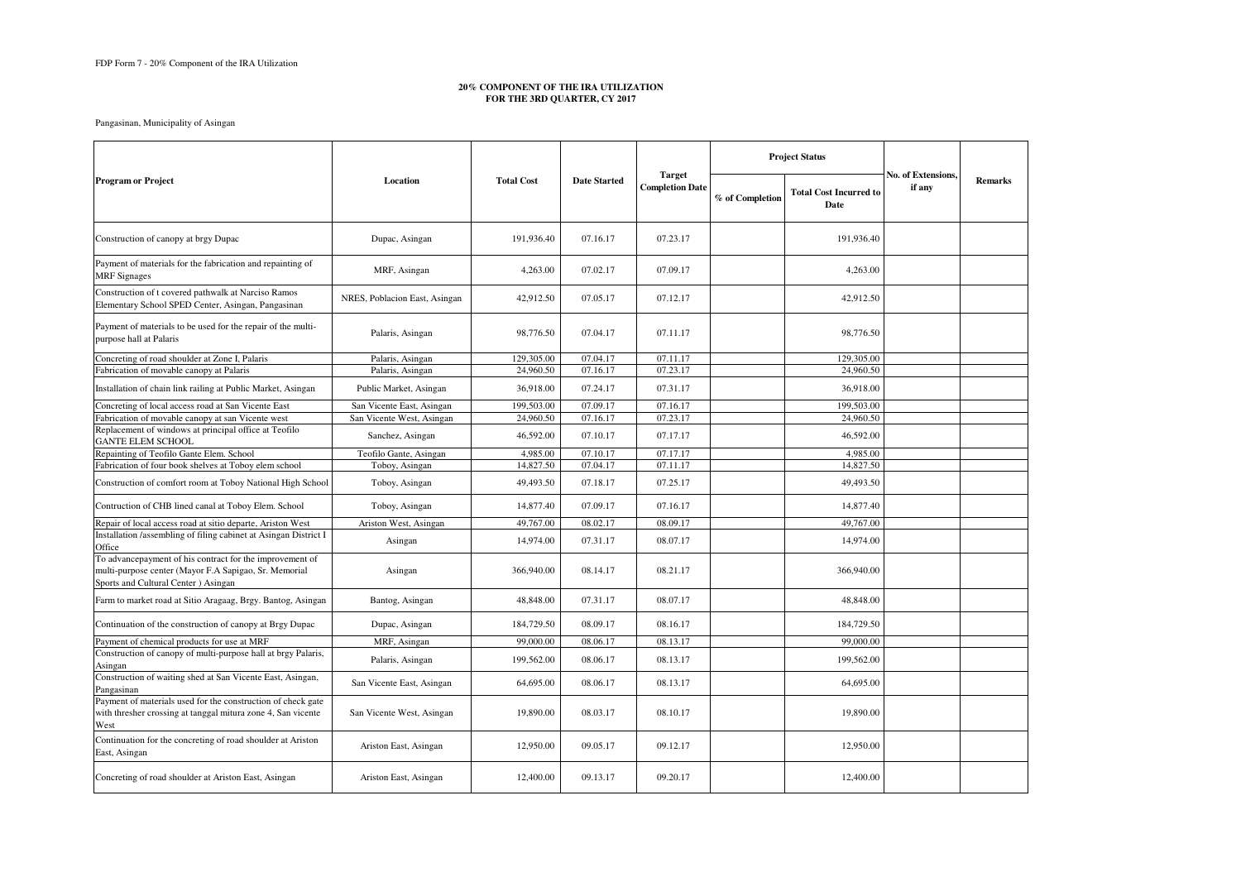Pangasinan, Municipality of Asingan

## **20% COMPONENT OF THE IRA UTILIZATION FOR THE 3RD QUARTER, CY 2017**

| <b>Program or Project</b>                                                                                                                                 | Location                      | <b>Total Cost</b> | <b>Date Started</b> | <b>Target</b><br><b>Completion Date</b> | <b>Project Status</b> |                                       |                                     |                |
|-----------------------------------------------------------------------------------------------------------------------------------------------------------|-------------------------------|-------------------|---------------------|-----------------------------------------|-----------------------|---------------------------------------|-------------------------------------|----------------|
|                                                                                                                                                           |                               |                   |                     |                                         | % of Completion       | <b>Total Cost Incurred to</b><br>Date | <b>No. of Extensions.</b><br>if any | <b>Remarks</b> |
| Construction of canopy at brgy Dupac                                                                                                                      | Dupac, Asingan                | 191,936.40        | 07.16.17            | 07.23.17                                |                       | 191,936.40                            |                                     |                |
| Payment of materials for the fabrication and repainting of<br><b>MRF</b> Signages                                                                         | MRF, Asingan                  | 4,263.00          | 07.02.17            | 07.09.17                                |                       | 4,263.00                              |                                     |                |
| Construction of t covered pathwalk at Narciso Ramos<br>Elementary School SPED Center, Asingan, Pangasinan                                                 | NRES, Poblacion East, Asingan | 42,912.50         | 07.05.17            | 07.12.17                                |                       | 42,912.50                             |                                     |                |
| Payment of materials to be used for the repair of the multi-<br>purpose hall at Palaris                                                                   | Palaris, Asingan              | 98,776.50         | 07.04.17            | 07.11.17                                |                       | 98,776.50                             |                                     |                |
| Concreting of road shoulder at Zone I, Palaris                                                                                                            | Palaris, Asingan              | 129,305.00        | 07.04.17            | 07.11.17                                |                       | 129,305.00                            |                                     |                |
| Fabrication of movable canopy at Palaris                                                                                                                  | Palaris, Asingan              | 24,960.50         | 07.16.17            | 07.23.17                                |                       | 24,960.50                             |                                     |                |
| Installation of chain link railing at Public Market, Asingan                                                                                              | Public Market, Asingan        | 36,918.00         | 07.24.17            | 07.31.17                                |                       | 36,918.00                             |                                     |                |
| Concreting of local access road at San Vicente East                                                                                                       | San Vicente East, Asingan     | 199,503.00        | 07.09.17            | 07.16.17                                |                       | 199,503.00                            |                                     |                |
| Fabrication of movable canopy at san Vicente west                                                                                                         | San Vicente West, Asingan     | 24,960.50         | 07.16.17            | 07.23.17                                |                       | 24,960.50                             |                                     |                |
| Replacement of windows at principal office at Teofilo<br><b>GANTE ELEM SCHOOL</b>                                                                         | Sanchez, Asingan              | 46,592.00         | 07.10.17            | 07.17.17                                |                       | 46,592.00                             |                                     |                |
| Repainting of Teofilo Gante Elem. School                                                                                                                  | Teofilo Gante, Asingan        | 4,985.00          | 07.10.17            | 07.17.17                                |                       | 4,985.00                              |                                     |                |
| Fabrication of four book shelves at Toboy elem school                                                                                                     | Toboy, Asingan                | 14,827.50         | 07.04.17            | 07.11.17                                |                       | 14,827.50                             |                                     |                |
| Construction of comfort room at Toboy National High School                                                                                                | Toboy, Asingan                | 49,493.50         | 07.18.17            | 07.25.17                                |                       | 49,493.50                             |                                     |                |
| Contruction of CHB lined canal at Toboy Elem. School                                                                                                      | Toboy, Asingan                | 14,877.40         | 07.09.17            | 07.16.17                                |                       | 14,877.40                             |                                     |                |
| Repair of local access road at sitio departe, Ariston West                                                                                                | Ariston West, Asingan         | 49,767.00         | 08.02.17            | 08.09.17                                |                       | 49,767.00                             |                                     |                |
| Installation /assembling of filing cabinet at Asingan District I<br>Office                                                                                | Asingan                       | 14,974.00         | 07.31.17            | 08.07.17                                |                       | 14,974.00                             |                                     |                |
| To advancepayment of his contract for the improvement of<br>multi-purpose center (Mayor F.A Sapigao, Sr. Memorial<br>Sports and Cultural Center ) Asingan | Asingan                       | 366,940.00        | 08.14.17            | 08.21.17                                |                       | 366,940.00                            |                                     |                |
| Farm to market road at Sitio Aragaag, Brgy. Bantog, Asingan                                                                                               | Bantog, Asingan               | 48,848.00         | 07.31.17            | 08.07.17                                |                       | 48,848.00                             |                                     |                |
| Continuation of the construction of canopy at Brgy Dupac                                                                                                  | Dupac, Asingan                | 184,729.50        | 08.09.17            | 08.16.17                                |                       | 184,729.50                            |                                     |                |
| Payment of chemical products for use at MRF                                                                                                               | MRF, Asingan                  | 99,000.00         | 08.06.17            | 08.13.17                                |                       | 99,000.00                             |                                     |                |
| Construction of canopy of multi-purpose hall at brgy Palaris,<br>Asingan                                                                                  | Palaris, Asingan              | 199,562.00        | 08.06.17            | 08.13.17                                |                       | 199,562.00                            |                                     |                |
| Construction of waiting shed at San Vicente East, Asingan,<br>Pangasinan                                                                                  | San Vicente East, Asingan     | 64,695.00         | 08.06.17            | 08.13.17                                |                       | 64,695.00                             |                                     |                |
| Payment of materials used for the construction of check gate<br>with thresher crossing at tanggal mitura zone 4, San vicente<br>West                      | San Vicente West, Asingan     | 19,890.00         | 08.03.17            | 08.10.17                                |                       | 19,890.00                             |                                     |                |
| Continuation for the concreting of road shoulder at Ariston<br>East, Asingan                                                                              | Ariston East, Asingan         | 12,950.00         | 09.05.17            | 09.12.17                                |                       | 12,950.00                             |                                     |                |
| Concreting of road shoulder at Ariston East, Asingan                                                                                                      | Ariston East, Asingan         | 12,400.00         | 09.13.17            | 09.20.17                                |                       | 12,400.00                             |                                     |                |